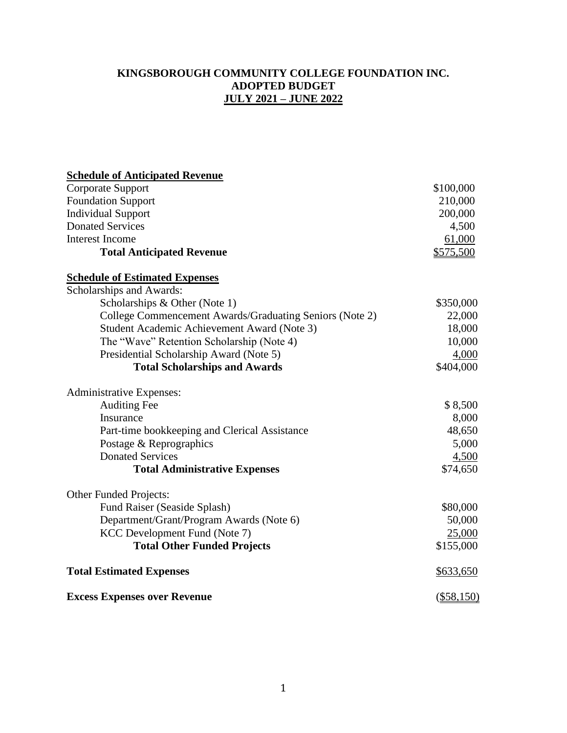#### **KINGSBOROUGH COMMUNITY COLLEGE FOUNDATION INC. ADOPTED BUDGET JULY 2021 – JUNE 2022**

# **Schedule of Anticipated Revenue** Corporate Support \$100,000 Foundation Support 210,000 Individual Support 200,000 Donated Services 4,500 Interest Income 61,000 **Total Anticipated Revenue**  $$575,500$ **Schedule of Estimated Expenses** Scholarships and Awards:  $Scholarships & Other (Note 1)$  \$350,000 College Commencement Awards/Graduating Seniors (Note 2) 22,000 Student Academic Achievement Award (Note 3) 18,000 The "Wave" Retention Scholarship (Note 4) 10,000 Presidential Scholarship Award (Note 5) 4,000 **Total Scholarships and Awards**  $$404,000$ Administrative Expenses: Auditing Fee  $\degree$  8.500 Insurance 8,000 Part-time bookkeeping and Clerical Assistance 48,650 Postage & Reprographics 5,000 Donated Services 4,500 **Total Administrative Expenses** \$74,650 Other Funded Projects: Fund Raiser (Seaside Splash)  $$80,000$ Department/Grant/Program Awards (Note 6) 50,000 KCC Development Fund (Note 7) 25,000 **Total Other Funded Projects** \$155,000 **Total Estimated Expenses**  $$633,650$ **Excess Expenses over Revenue** (\$58,150)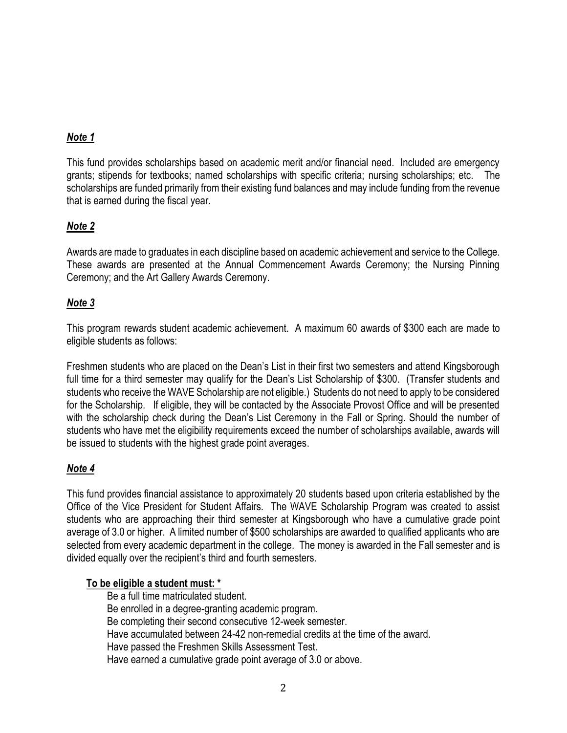## *Note 1*

This fund provides scholarships based on academic merit and/or financial need. Included are emergency grants; stipends for textbooks; named scholarships with specific criteria; nursing scholarships; etc. The scholarships are funded primarily from their existing fund balances and may include funding from the revenue that is earned during the fiscal year.

### *Note 2*

Awards are made to graduates in each discipline based on academic achievement and service to the College. These awards are presented at the Annual Commencement Awards Ceremony; the Nursing Pinning Ceremony; and the Art Gallery Awards Ceremony.

### *Note 3*

This program rewards student academic achievement. A maximum 60 awards of \$300 each are made to eligible students as follows:

Freshmen students who are placed on the Dean's List in their first two semesters and attend Kingsborough full time for a third semester may qualify for the Dean's List Scholarship of \$300. (Transfer students and students who receive the WAVE Scholarship are not eligible.) Students do not need to apply to be considered for the Scholarship. If eligible, they will be contacted by the Associate Provost Office and will be presented with the scholarship check during the Dean's List Ceremony in the Fall or Spring. Should the number of students who have met the eligibility requirements exceed the number of scholarships available, awards will be issued to students with the highest grade point averages.

### *Note 4*

This fund provides financial assistance to approximately 20 students based upon criteria established by the Office of the Vice President for Student Affairs. The WAVE Scholarship Program was created to assist students who are approaching their third semester at Kingsborough who have a cumulative grade point average of 3.0 or higher. A limited number of \$500 scholarships are awarded to qualified applicants who are selected from every academic department in the college. The money is awarded in the Fall semester and is divided equally over the recipient's third and fourth semesters.

#### **To be eligible a student must: \***

Be a full time matriculated student. Be enrolled in a degree-granting academic program. Be completing their second consecutive 12-week semester. Have accumulated between 24-42 non-remedial credits at the time of the award. Have passed the Freshmen Skills Assessment Test. Have earned a cumulative grade point average of 3.0 or above.